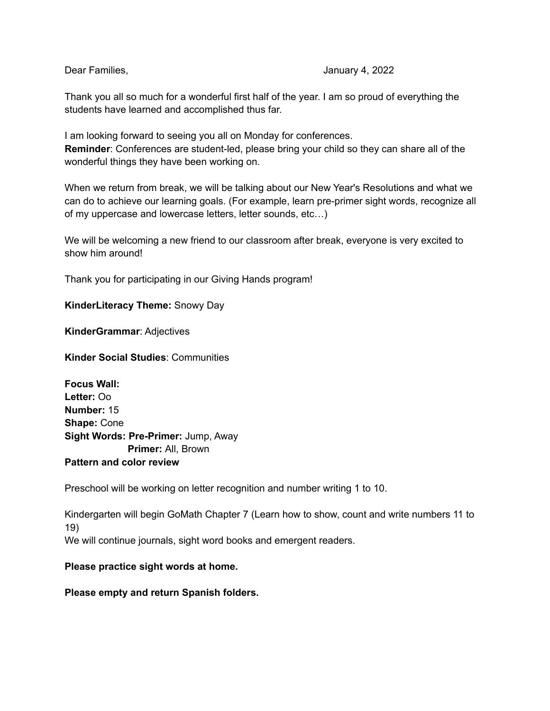#### Dear Families, January 4, 2022

Thank you all so much for a wonderful first half of the year. I am so proud of everything the students have learned and accomplished thus far.

I am looking forward to seeing you all on Monday for conferences. **Reminder**: Conferences are student-led, please bring your child so they can share all of the wonderful things they have been working on.

When we return from break, we will be talking about our New Year's Resolutions and what we can do to achieve our learning goals. (For example, learn pre-primer sight words, recognize all of my uppercase and lowercase letters, letter sounds, etc…)

We will be welcoming a new friend to our classroom after break, everyone is very excited to show him around!

Thank you for participating in our Giving Hands program!

### **KinderLiteracy Theme:** Snowy Day

**KinderGrammar**: Adjectives

**Kinder Social Studies**: Communities

**Focus Wall: Letter:** Oo **Number:** 15 **Shape:** Cone **Sight Words: Pre-Primer:** Jump, Away **Primer:** All, Brown **Pattern and color review**

Preschool will be working on letter recognition and number writing 1 to 10.

Kindergarten will begin GoMath Chapter 7 (Learn how to show, count and write numbers 11 to 19) We will continue journals, sight word books and emergent readers.

#### **Please practice sight words at home.**

**Please empty and return Spanish folders.**